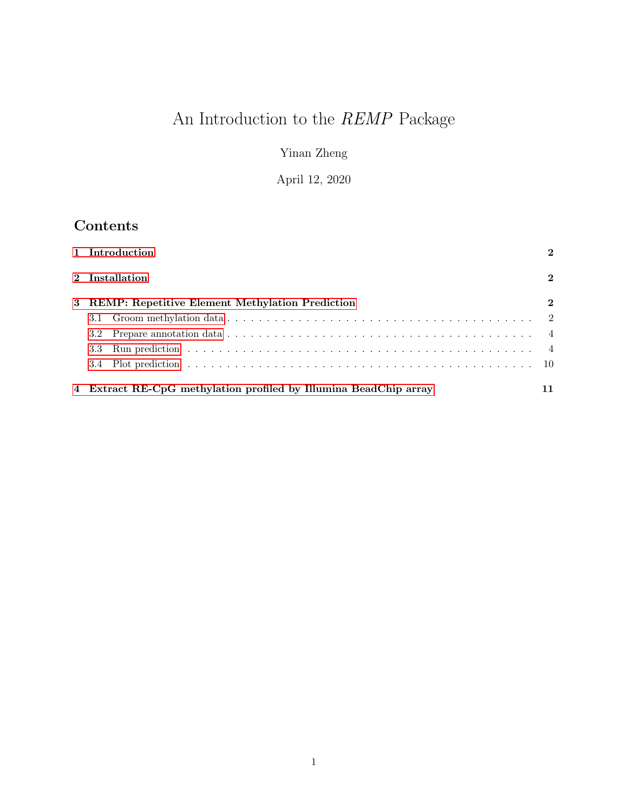# An Introduction to the REMP Package

Yinan Zheng

April 12, 2020

# Contents

|                                                             | 1 Introduction |                                                                  |              |  |  |  |
|-------------------------------------------------------------|----------------|------------------------------------------------------------------|--------------|--|--|--|
|                                                             |                | 2 Installation                                                   | $\mathbf{2}$ |  |  |  |
| <b>REMP: Repetitive Element Methylation Prediction</b><br>3 |                |                                                                  |              |  |  |  |
|                                                             | 3.1            |                                                                  |              |  |  |  |
|                                                             |                |                                                                  |              |  |  |  |
|                                                             | 3.3            |                                                                  |              |  |  |  |
|                                                             |                |                                                                  |              |  |  |  |
|                                                             |                |                                                                  |              |  |  |  |
|                                                             |                | 4 Extract RE-CpG methylation profiled by Illumina BeadChip array |              |  |  |  |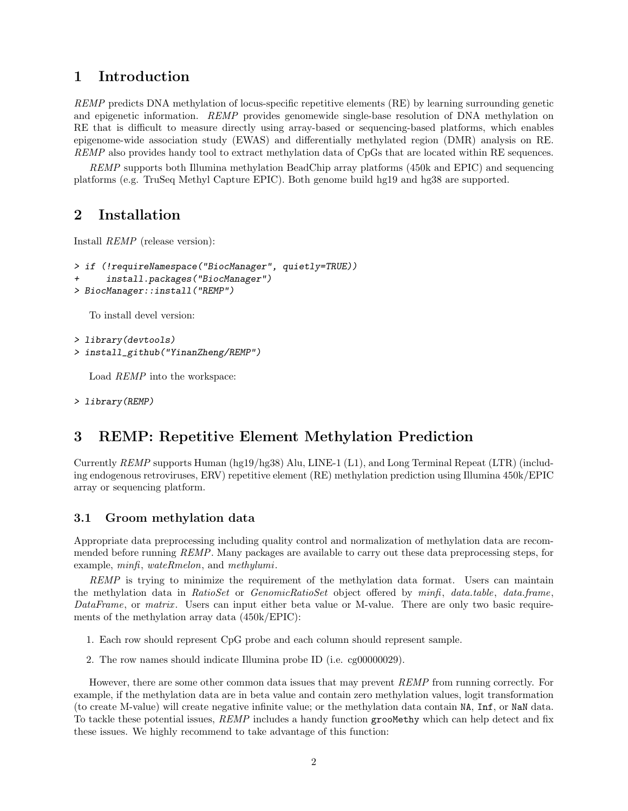### <span id="page-1-0"></span>1 Introduction

REMP predicts DNA methylation of locus-specific repetitive elements (RE) by learning surrounding genetic and epigenetic information. REMP provides genomewide single-base resolution of DNA methylation on RE that is difficult to measure directly using array-based or sequencing-based platforms, which enables epigenome-wide association study (EWAS) and differentially methylated region (DMR) analysis on RE. REMP also provides handy tool to extract methylation data of CpGs that are located within RE sequences.

REMP supports both Illumina methylation BeadChip array platforms (450k and EPIC) and sequencing platforms (e.g. TruSeq Methyl Capture EPIC). Both genome build hg19 and hg38 are supported.

### <span id="page-1-1"></span>2 Installation

Install REMP (release version):

```
> if (!requireNamespace("BiocManager", quietly=TRUE))
```
- + install.packages("BiocManager")
- > BiocManager::install("REMP")

To install devel version:

```
> library(devtools)
```

```
> install_github("YinanZheng/REMP")
```
Load REMP into the workspace:

> library(REMP)

## <span id="page-1-2"></span>3 REMP: Repetitive Element Methylation Prediction

Currently REMP supports Human (hg19/hg38) Alu, LINE-1 (L1), and Long Terminal Repeat (LTR) (including endogenous retroviruses, ERV) repetitive element (RE) methylation prediction using Illumina 450k/EPIC array or sequencing platform.

#### <span id="page-1-3"></span>3.1 Groom methylation data

Appropriate data preprocessing including quality control and normalization of methylation data are recommended before running REMP. Many packages are available to carry out these data preprocessing steps, for example, minfi, wateRmelon, and methylumi.

REMP is trying to minimize the requirement of the methylation data format. Users can maintain the methylation data in RatioSet or GenomicRatioSet object offered by minfi, data.table, data.frame, DataFrame, or matrix. Users can input either beta value or M-value. There are only two basic requirements of the methylation array data (450k/EPIC):

- 1. Each row should represent CpG probe and each column should represent sample.
- 2. The row names should indicate Illumina probe ID (i.e. cg00000029).

However, there are some other common data issues that may prevent REMP from running correctly. For example, if the methylation data are in beta value and contain zero methylation values, logit transformation (to create M-value) will create negative infinite value; or the methylation data contain NA, Inf, or NaN data. To tackle these potential issues, REMP includes a handy function groomethy which can help detect and fix these issues. We highly recommend to take advantage of this function: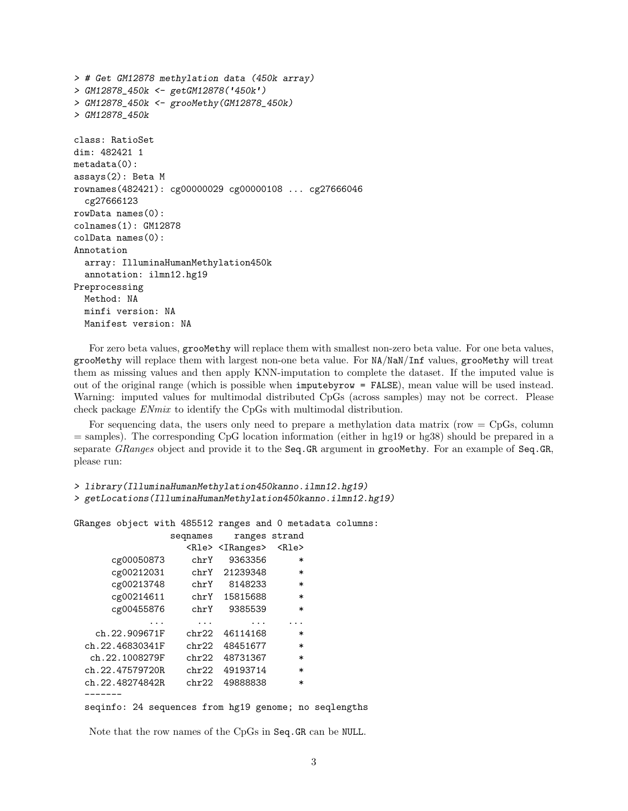```
> # Get GM12878 methylation data (450k array)
> GM12878_450k <- getGM12878('450k')
> GM12878_450k <- grooMethy(GM12878_450k)
> GM12878_450k
class: RatioSet
dim: 482421 1
metadata(0):
assays(2): Beta M
rownames(482421): cg00000029 cg00000108 ... cg27666046
  cg27666123
rowData names(0):
colnames(1): GM12878
colData names(0):
Annotation
  array: IlluminaHumanMethylation450k
  annotation: ilmn12.hg19
Preprocessing
 Method: NA
  minfi version: NA
 Manifest version: NA
```
For zero beta values, groomethy will replace them with smallest non-zero beta value. For one beta values, grooMethy will replace them with largest non-one beta value. For NA/NaN/Inf values, grooMethy will treat them as missing values and then apply KNN-imputation to complete the dataset. If the imputed value is out of the original range (which is possible when imputebyrow = FALSE), mean value will be used instead. Warning: imputed values for multimodal distributed CpGs (across samples) may not be correct. Please check package ENmix to identify the CpGs with multimodal distribution.

For sequencing data, the users only need to prepare a methylation data matrix (row  $=$  CpGs, column = samples). The corresponding CpG location information (either in hg19 or hg38) should be prepared in a separate GRanges object and provide it to the Seq.GR argument in groomethy. For an example of Seq.GR, please run:

```
> library(IlluminaHumanMethylation450kanno.ilmn12.hg19)
> getLocations(IlluminaHumanMethylation450kanno.ilmn12.hg19)
```
GRanges object with 485512 ranges and 0 metadata columns:

|                  | segnames | ranges strand                   |             |  |
|------------------|----------|---------------------------------|-------------|--|
|                  |          | <rle> <iranges></iranges></rle> | <rle></rle> |  |
| cg00050873       | chrY     | 9363356                         | ∗           |  |
| cg00212031       | chrY     | 21239348                        | $\ast$      |  |
| cg00213748       | chrY     | 8148233                         | $\ast$      |  |
| cg00214611       | chrY     | 15815688                        | $\ast$      |  |
| cg00455876       | chrY     | 9385539                         | $\ast$      |  |
|                  | .        |                                 |             |  |
| ch.22.909671F    | chr22    | 46114168                        | $\ast$      |  |
| ch.22.46830341F  | chr22.   | 48451677                        | $\ast$      |  |
| ch.22.1008279F   | chr22    | 48731367                        | $\ast$      |  |
| ch.22.47579720R  | chr22    | 49193714                        | $\ast$      |  |
| ch. 22.48274842R | chr22    | 49888838                        | $\ast$      |  |
|                  |          |                                 |             |  |
|                  |          |                                 |             |  |

seqinfo: 24 sequences from hg19 genome; no seqlengths

Note that the row names of the CpGs in Seq.GR can be NULL.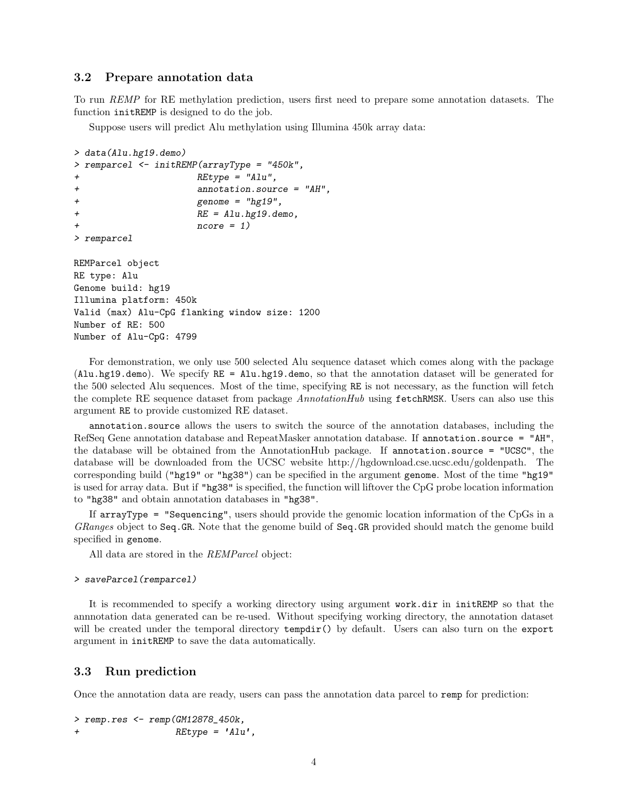#### <span id="page-3-0"></span>3.2 Prepare annotation data

To run REMP for RE methylation prediction, users first need to prepare some annotation datasets. The function initREMP is designed to do the job.

Suppose users will predict Alu methylation using Illumina 450k array data:

```
> data(Alu.hg19.demo)
> remparcel <- initREMP(arrayType = "450k",
+ REtype = "Alu",
+ annotation.source = "AH",
+ genome = "hg19",
+ RE = Alu.hg19.demo,
+ ncore = 1)
> remparcel
REMParcel object
RE type: Alu
Genome build: hg19
Illumina platform: 450k
Valid (max) Alu-CpG flanking window size: 1200
Number of RE: 500
Number of Alu-CpG: 4799
```
For demonstration, we only use 500 selected Alu sequence dataset which comes along with the package (Alu.hg19.demo). We specify RE = Alu.hg19.demo, so that the annotation dataset will be generated for the 500 selected Alu sequences. Most of the time, specifying RE is not necessary, as the function will fetch the complete RE sequence dataset from package AnnotationHub using fetchRMSK. Users can also use this argument RE to provide customized RE dataset.

annotation.source allows the users to switch the source of the annotation databases, including the RefSeq Gene annotation database and RepeatMasker annotation database. If annotation.source = "AH", the database will be obtained from the AnnotationHub package. If annotation.source = "UCSC", the database will be downloaded from the UCSC website http://hgdownload.cse.ucsc.edu/goldenpath. The corresponding build ("hg19" or "hg38") can be specified in the argument genome. Most of the time "hg19" is used for array data. But if "hg38" is specified, the function will liftover the CpG probe location information to "hg38" and obtain annotation databases in "hg38".

If arrayType = "Sequencing", users should provide the genomic location information of the CpGs in a GRanges object to Seq.GR. Note that the genome build of Seq.GR provided should match the genome build specified in genome.

All data are stored in the REMParcel object:

```
> saveParcel(remparcel)
```
It is recommended to specify a working directory using argument work.dir in initREMP so that the annnotation data generated can be re-used. Without specifying working directory, the annotation dataset will be created under the temporal directory **tempdir**() by default. Users can also turn on the export argument in initREMP to save the data automatically.

#### <span id="page-3-1"></span>3.3 Run prediction

Once the annotation data are ready, users can pass the annotation data parcel to remp for prediction:

> remp.res <- remp(GM12878\_450k, + REtype = 'Alu',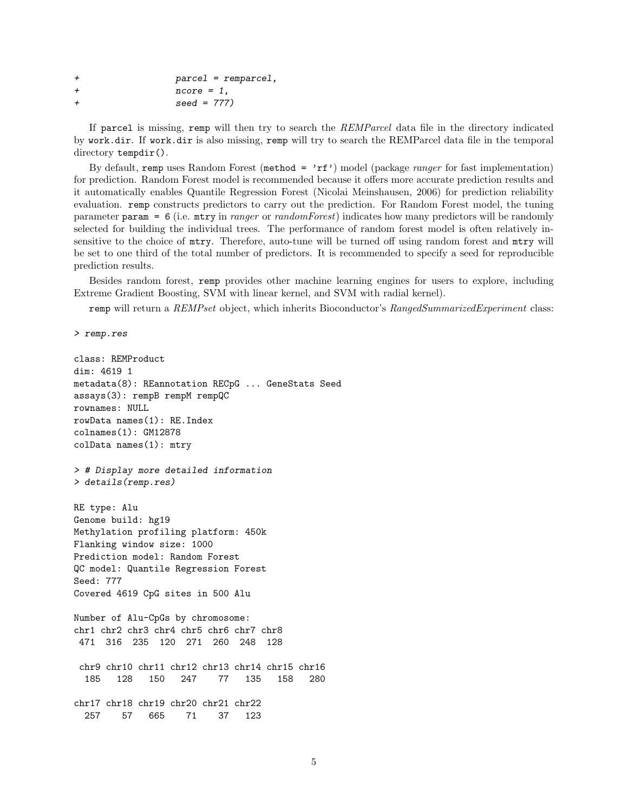| $\div$ | $\text{parcel}$ = remparcel, |
|--------|------------------------------|
| $\div$ | $ncore = 1$ .                |
| $\div$ | $seed = 777$                 |

If parcel is missing, remp will then try to search the REMParcel data file in the directory indicated by work.dir. If work.dir is also missing, remp will try to search the REMParcel data file in the temporal directory tempdir().

By default, remp uses Random Forest (method =  $'r f'$ ) model (package *ranger* for fast implementation) for prediction. Random Forest model is recommended because it offers more accurate prediction results and it automatically enables Quantile Regression Forest (Nicolai Meinshausen, 2006) for prediction reliability evaluation. remp constructs predictors to carry out the prediction. For Random Forest model, the tuning parameter param = 6 (i.e. mtry in ranger or randomForest) indicates how many predictors will be randomly selected for building the individual trees. The performance of random forest model is often relatively insensitive to the choice of mtry. Therefore, auto-tune will be turned off using random forest and mtry will be set to one third of the total number of predictors. It is recommended to specify a seed for reproducible prediction results.

Besides random forest, remp provides other machine learning engines for users to explore, including Extreme Gradient Boosting, SVM with linear kernel, and SVM with radial kernel).

remp will return a REMPset object, which inherits Bioconductor's RangedSummarizedExperiment class:

```
> remp.res
```

```
class: REMProduct
dim: 4619 1
metadata(8): REannotation RECpG ... GeneStats Seed
assays(3): rempB rempM rempQC
rownames: NULL
rowData names(1): RE.Index
colnames(1): GM12878
colData names(1): mtry
> # Display more detailed information
> details(remp.res)
RE type: Alu
Genome build: hg19
Methylation profiling platform: 450k
Flanking window size: 1000
Prediction model: Random Forest
QC model: Quantile Regression Forest
Seed: 777
Covered 4619 CpG sites in 500 Alu
Number of Alu-CpGs by chromosome:
chr1 chr2 chr3 chr4 chr5 chr6 chr7 chr8
471 316 235 120 271 260 248 128
chr9 chr10 chr11 chr12 chr13 chr14 chr15 chr16
  185 128 150 247 77 135 158 280
chr17 chr18 chr19 chr20 chr21 chr22
 257 57 665 71 37 123
```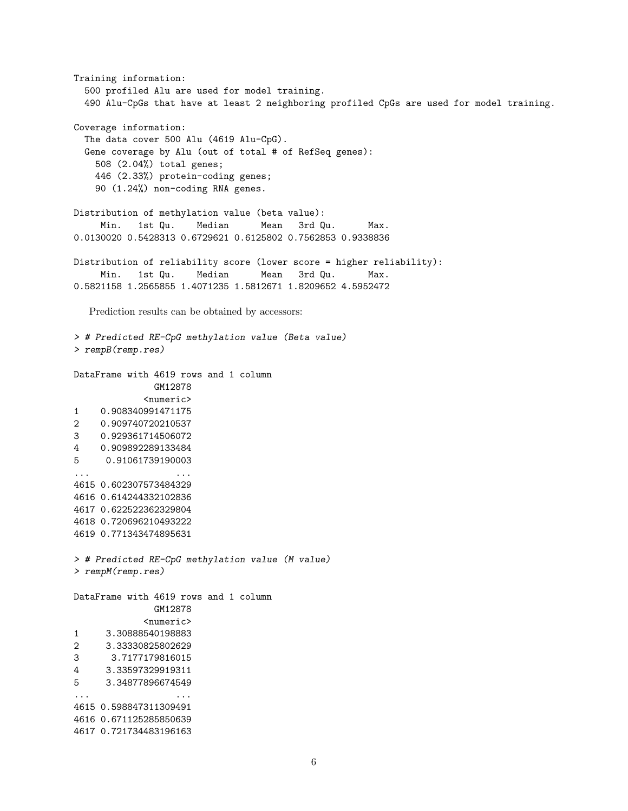Training information: 500 profiled Alu are used for model training. 490 Alu-CpGs that have at least 2 neighboring profiled CpGs are used for model training. Coverage information: The data cover 500 Alu (4619 Alu-CpG). Gene coverage by Alu (out of total # of RefSeq genes): 508 (2.04%) total genes; 446 (2.33%) protein-coding genes; 90 (1.24%) non-coding RNA genes. Distribution of methylation value (beta value): Min. 1st Qu. Median Mean 3rd Qu. Max. 0.0130020 0.5428313 0.6729621 0.6125802 0.7562853 0.9338836 Distribution of reliability score (lower score = higher reliability): Min. 1st Qu. Median Mean 3rd Qu. Max. 0.5821158 1.2565855 1.4071235 1.5812671 1.8209652 4.5952472 Prediction results can be obtained by accessors: > # Predicted RE-CpG methylation value (Beta value) > rempB(remp.res) DataFrame with 4619 rows and 1 column GM12878 <numeric> 1 0.908340991471175 2 0.909740720210537 3 0.929361714506072 4 0.909892289133484 5 0.91061739190003 ... ... ... ... ... ... ... ... ... ... ... ... ... ... ... ... ... ... ... ... ... ... ... ... ... ... ... ... ... ... ... ... ... ... ... ... ... ... ... ... ... ... ... ... ... ... ... ... ... ... ... ... ... ... ... ... 4615 0.602307573484329 4616 0.614244332102836 4617 0.622522362329804 4618 0.720696210493222 4619 0.771343474895631 > # Predicted RE-CpG methylation value (M value) > rempM(remp.res) DataFrame with 4619 rows and 1 column GM12878 <numeric> 1 3.30888540198883 2 3.33330825802629 3 3.7177179816015 4 3.33597329919311 5 3.34877896674549 ... ... 4615 0.598847311309491 4616 0.671125285850639 4617 0.721734483196163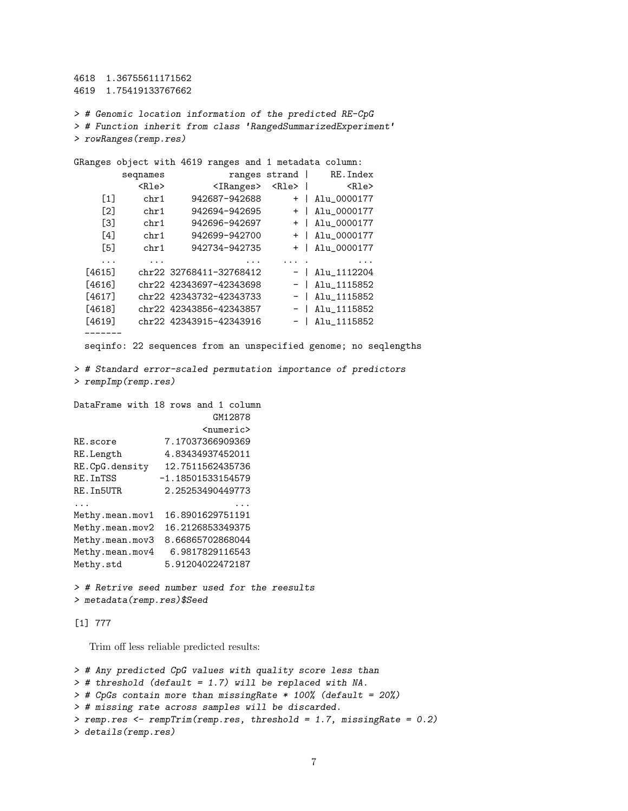4618 1.36755611171562 4619 1.75419133767662

> # Genomic location information of the predicted RE-CpG > # Function inherit from class 'RangedSummarizedExperiment' > rowRanges(remp.res)

GRanges object with 4619 ranges and 1 metadata column: seqnames ranges strand | RE.Index <Rle> <IRanges> <Rle> | <Rle> [1] chr1 942687-942688 + | Alu\_0000177 [2] chr1 942694-942695 + | Alu\_0000177 [3] chr1 942696-942697 + | Alu\_0000177 [4] chr1 942699-942700 + | Alu\_0000177 [5] chr1 942734-942735 + | Alu\_0000177 ... ... ... ... . ... [4615] chr22 32768411-32768412 - | Alu\_1112204 [4616] chr22 42343697-42343698 - | Alu\_1115852 [4617] chr22 42343732-42343733 - | Alu\_1115852 [4618] chr22 42343856-42343857 - | Alu\_1115852 [4619] chr22 42343915-42343916 - | Alu\_1115852 -------

seqinfo: 22 sequences from an unspecified genome; no seqlengths

> # Standard error-scaled permutation importance of predictors > rempImp(remp.res)

```
DataFrame with 18 rows and 1 column
                      GM12878
                    <numeric>
RE.score 7.17037366909369
RE.Length 4.83434937452011
RE.CpG.density 12.7511562435736
RE.InTSS -1.18501533154579
RE.In5UTR 2.25253490449773
... ...
Methy.mean.mov1 16.8901629751191
Methy.mean.mov2 16.2126853349375
Methy.mean.mov3 8.66865702868044
Methy.mean.mov4 6.9817829116543
Methy.std 5.91204022472187
```
> # Retrive seed number used for the reesults > metadata(remp.res)\$Seed

#### [1] 777

Trim off less reliable predicted results:

```
> # Any predicted CpG values with quality score less than
> # threshold (default = 1.7) will be replaced with NA.
> # CpGs contain more than missingRate * 100% (default = 20%)
> # missing rate across samples will be discarded.
> remp.res <- rempTrim(remp.res, threshold = 1.7, missingRate = 0.2)
> details(remp.res)
```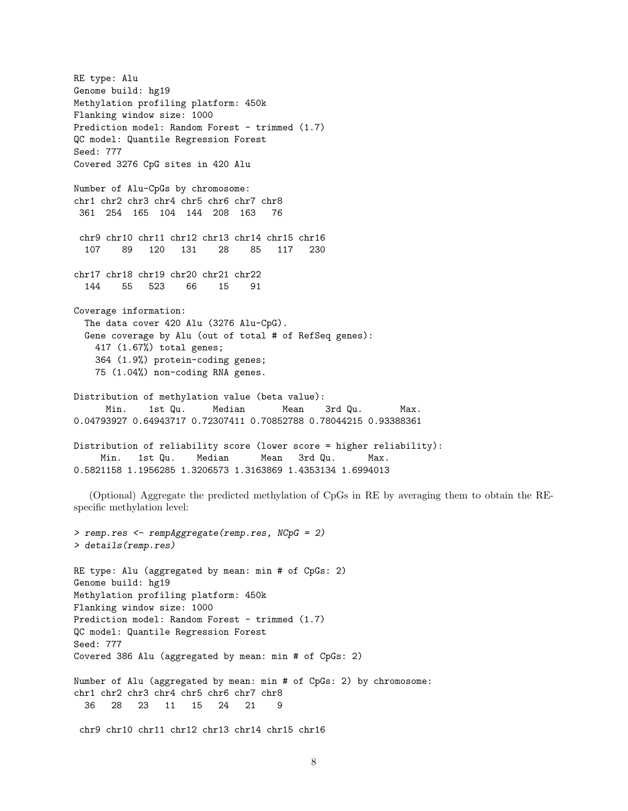RE type: Alu Genome build: hg19 Methylation profiling platform: 450k Flanking window size: 1000 Prediction model: Random Forest - trimmed (1.7) QC model: Quantile Regression Forest Seed: 777 Covered 3276 CpG sites in 420 Alu Number of Alu-CpGs by chromosome: chr1 chr2 chr3 chr4 chr5 chr6 chr7 chr8 361 254 165 104 144 208 163 76 chr9 chr10 chr11 chr12 chr13 chr14 chr15 chr16 107 89 120 131 28 85 117 230 chr17 chr18 chr19 chr20 chr21 chr22 144 55 523 66 15 91 Coverage information: The data cover 420 Alu (3276 Alu-CpG). Gene coverage by Alu (out of total # of RefSeq genes): 417 (1.67%) total genes; 364 (1.9%) protein-coding genes; 75 (1.04%) non-coding RNA genes. Distribution of methylation value (beta value): Min. 1st Qu. Median Mean 3rd Qu. Max. 0.04793927 0.64943717 0.72307411 0.70852788 0.78044215 0.93388361 Distribution of reliability score (lower score = higher reliability): Min. 1st Qu. Median Mean 3rd Qu. Max. 0.5821158 1.1956285 1.3206573 1.3163869 1.4353134 1.6994013

(Optional) Aggregate the predicted methylation of CpGs in RE by averaging them to obtain the REspecific methylation level:

> remp.res <- rempAggregate(remp.res, NCpG = 2) > details(remp.res) RE type: Alu (aggregated by mean: min # of CpGs: 2) Genome build: hg19 Methylation profiling platform: 450k Flanking window size: 1000 Prediction model: Random Forest - trimmed (1.7) QC model: Quantile Regression Forest Seed: 777 Covered 386 Alu (aggregated by mean: min # of CpGs: 2) Number of Alu (aggregated by mean: min # of CpGs: 2) by chromosome: chr1 chr2 chr3 chr4 chr5 chr6 chr7 chr8 36 28 23 11 15 24 21 9 chr9 chr10 chr11 chr12 chr13 chr14 chr15 chr16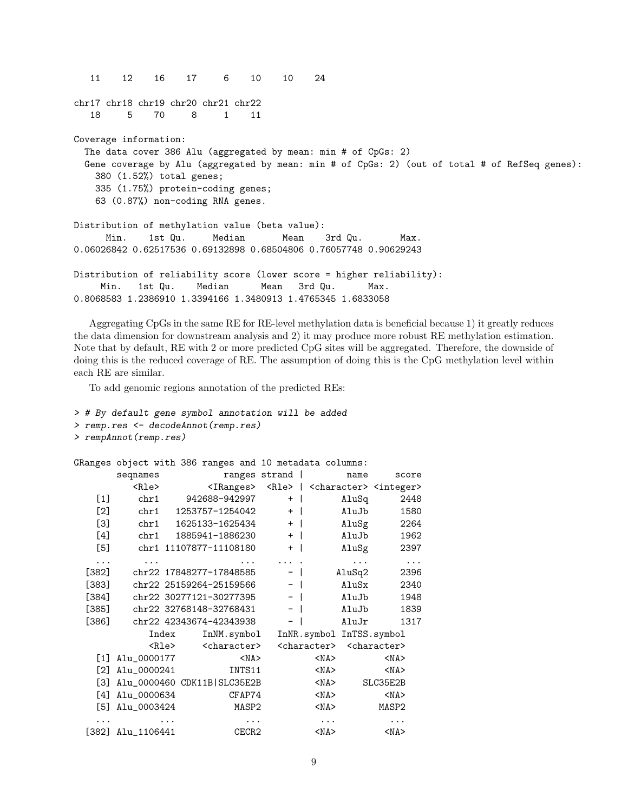11 12 16 17 6 10 10 24 chr17 chr18 chr19 chr20 chr21 chr22 18 5 70 8 1 11 Coverage information: The data cover 386 Alu (aggregated by mean: min # of CpGs: 2) Gene coverage by Alu (aggregated by mean: min # of CpGs: 2) (out of total # of RefSeq genes): 380 (1.52%) total genes; 335 (1.75%) protein-coding genes; 63 (0.87%) non-coding RNA genes. Distribution of methylation value (beta value): Min. 1st Qu. Median Mean 3rd Qu. Max. 0.06026842 0.62517536 0.69132898 0.68504806 0.76057748 0.90629243 Distribution of reliability score (lower score = higher reliability): Min. 1st Qu. Median Mean 3rd Qu. Max. 0.8068583 1.2386910 1.3394166 1.3480913 1.4765345 1.6833058

Aggregating CpGs in the same RE for RE-level methylation data is beneficial because 1) it greatly reduces the data dimension for downstream analysis and 2) it may produce more robust RE methylation estimation. Note that by default, RE with 2 or more predicted CpG sites will be aggregated. Therefore, the downside of doing this is the reduced coverage of RE. The assumption of doing this is the CpG methylation level within each RE are similar.

To add genomic regions annotation of the predicted REs:

```
> # By default gene symbol annotation will be added
```

```
> remp.res <- decodeAnnot(remp.res)
```

```
> rempAnnot(remp.res)
```
GRanges object with 386 ranges and 10 metadata columns:

|          | seqnames                      |       |                                                                               | ranges strand       |      |            | name                                            |            | score    |
|----------|-------------------------------|-------|-------------------------------------------------------------------------------|---------------------|------|------------|-------------------------------------------------|------------|----------|
|          | <rle></rle>                   |       | <iranges> <rle>   <character> <integer></integer></character></rle></iranges> |                     |      |            |                                                 |            |          |
| $[1]$    | chr1                          |       | 942688-942997                                                                 |                     | $+$  |            | AluSq                                           |            | 2448     |
| [2]      | chr1                          |       | 1253757-1254042                                                               |                     | $+$  |            | AluJb                                           |            | 1580     |
| $[3]$    | chr1                          |       | 1625133-1625434                                                               |                     | $+$  |            | AluSg                                           |            | 2264     |
| [4]      | chr1                          |       | 1885941-1886230                                                               |                     | $+$  |            | AluJb                                           |            | 1962     |
| [5]      |                               |       | chr1 11107877-11108180                                                        |                     | $+$  |            | AluSg                                           |            | 2397     |
| $\cdots$ | .                             |       |                                                                               | $\ldots$ . $\ldots$ |      |            | $\cdots$                                        |            | $\ldots$ |
|          | [382] chr22 17848277-17848585 |       |                                                                               |                     | $-$  |            | AluSq2                                          |            | 2396     |
| $[383]$  |                               |       | chr22 25159264-25159566                                                       |                     | $-$  |            | AluSx                                           |            | 2340     |
| $[384]$  |                               |       | chr22 30277121-30277395                                                       |                     | $-1$ |            | AluJb                                           |            | 1948     |
| $[385]$  |                               |       | chr22 32768148-32768431                                                       |                     | $-1$ |            | AluJb                                           |            | 1839     |
| [386]    |                               |       | chr22 42343674-42343938                                                       |                     | $-$  |            | AluJr                                           |            | 1317     |
|          |                               | Index | InNM.symbol InNR.symbol InTSS.symbol                                          |                     |      |            |                                                 |            |          |
|          |                               |       | <rle> <character></character></rle>                                           |                     |      |            | <character> <character></character></character> |            |          |
| $[1]$    | Alu_0000177                   |       | $<$ NA $>$                                                                    |                     |      | $<$ NA $>$ |                                                 | $<$ NA $>$ |          |
| [2]      | Alu_0000241                   |       | INTS11                                                                        |                     |      | $<$ NA $>$ |                                                 | $<$ NA $>$ |          |
| [3]      | Alu_0000460 CDK11B SLC35E2B   |       |                                                                               |                     |      | $<$ NA $>$ |                                                 | SLC35E2B   |          |
| [4]      | Alu_0000634                   |       | CFAP74                                                                        |                     |      | $<$ NA $>$ |                                                 | $<$ NA $>$ |          |
| [5]      | Alu_0003424                   |       | MASP2                                                                         |                     |      | $<$ NA $>$ |                                                 | MASP2      |          |
|          |                               |       | $\cdots$                                                                      |                     |      | $\cdots$   |                                                 | .          |          |
|          | [382] Alu_1106441             |       | CECR2                                                                         |                     |      | $<$ NA $>$ |                                                 | $<$ NA $>$ |          |
|          |                               |       |                                                                               |                     |      |            |                                                 |            |          |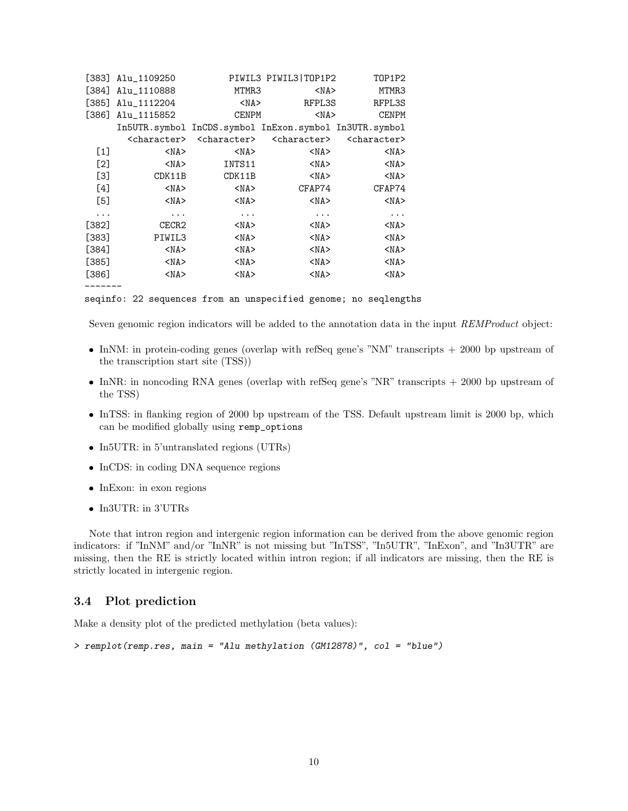|         | $[383]$ Alu_1109250     |                                                        | PIWIL3 PIWIL3   TOP1P2  | TOP1P2                  |
|---------|-------------------------|--------------------------------------------------------|-------------------------|-------------------------|
| [384]   | Alu_1110888             | MTMR3                                                  | $<$ NA $>$              | MTMR3                   |
| [385]   | Alu_1112204             | $<$ NA $>$                                             | RFPL3S                  | RFPL3S                  |
| [386]   | Alu_1115852             | <b>CENPM</b>                                           | $<$ NA $>$              | <b>CENPM</b>            |
|         |                         | In5UTR.symbol InCDS.symbol InExon.symbol In3UTR.symbol |                         |                         |
|         | <character></character> | <character></character>                                | <character></character> | <character></character> |
| $[1]$   | $<$ NA $>$              | $<$ NA $>$                                             | $<$ NA $>$              | $<$ NA $>$              |
| [2]     | $<$ NA $>$              | INTS11                                                 | $<$ NA $>$              | $<$ NA $>$              |
| [3]     | CDK11B                  | CDK11B                                                 | $<$ NA $>$              | $<$ NA $>$              |
| [4]     | $<$ NA $>$              | $<$ NA $>$                                             | CFAP74                  | CFAP74                  |
| $[5]$   | $<$ NA $>$              | $<$ NA $>$                                             | $<$ NA $>$              | $<$ NA $>$              |
| .       | $\cdots$                | $\cdots$                                               | $\cdots$                | $\cdots$                |
| [382]   | CECR2                   | $<$ NA $>$                                             | $<$ NA $>$              | $<$ NA $>$              |
| [383]   | PIWIL3                  | $<$ NA $>$                                             | $<$ NA $>$              | $<$ NA $>$              |
| [384]   | $<$ NA $>$              | $<$ NA $>$                                             | $<$ NA $>$              | $<$ NA $>$              |
| $[385]$ | $<$ NA $>$              | $<$ NA $>$                                             | $<$ NA $>$              | $<$ NA $>$              |
| [386]   | $<$ NA $>$              | $<$ NA $>$                                             | $<$ NA $>$              | $<$ NA $>$              |

seqinfo: 22 sequences from an unspecified genome; no seqlengths

Seven genomic region indicators will be added to the annotation data in the input REMProduct object:

- InNM: in protein-coding genes (overlap with refSeq gene's "NM" transcripts + 2000 bp upstream of the transcription start site (TSS))
- InNR: in noncoding RNA genes (overlap with refSeq gene's "NR" transcripts + 2000 bp upstream of the TSS)
- InTSS: in flanking region of 2000 bp upstream of the TSS. Default upstream limit is 2000 bp, which can be modified globally using remp\_options
- In5UTR: in 5'untranslated regions (UTRs)
- InCDS: in coding DNA sequence regions
- InExon: in exon regions
- $\bullet$  In3UTR: in 3'UTRs

-------

Note that intron region and intergenic region information can be derived from the above genomic region indicators: if "InNM" and/or "InNR" is not missing but "InTSS", "In5UTR", "InExon", and "In3UTR" are missing, then the RE is strictly located within intron region; if all indicators are missing, then the RE is strictly located in intergenic region.

#### <span id="page-9-0"></span>3.4 Plot prediction

Make a density plot of the predicted methylation (beta values):

```
> remplot(remp.res, main = "Alu methylation (GM12878)", col = "blue")
```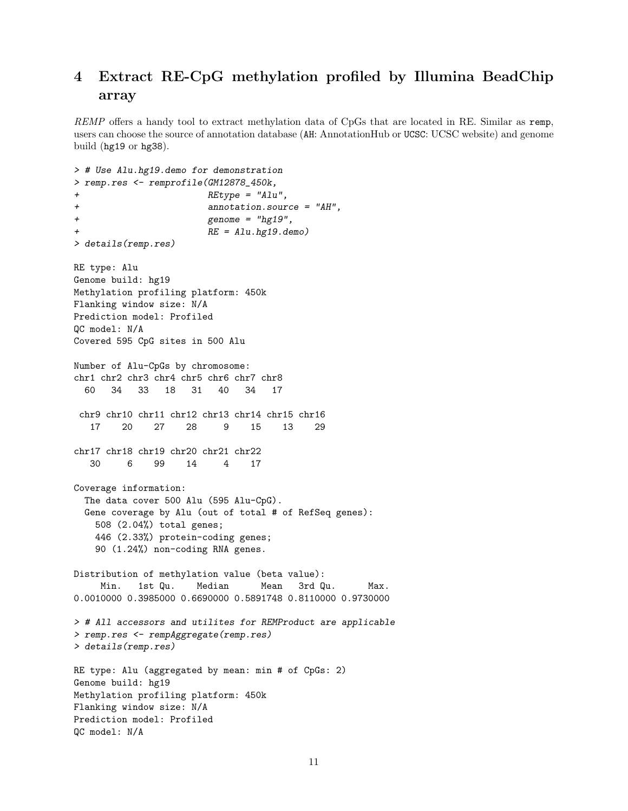# <span id="page-10-0"></span>4 Extract RE-CpG methylation profiled by Illumina BeadChip array

REMP offers a handy tool to extract methylation data of CpGs that are located in RE. Similar as remp, users can choose the source of annotation database (AH: AnnotationHub or UCSC: UCSC website) and genome build (hg19 or hg38).

```
> # Use Alu.hg19.demo for demonstration
> remp.res <- remprofile(GM12878_450k,
+ REtype = "Alu",
+ annotation.source = "AH",
+ genome = "hg19",
+ RE = Alu.hg19.demo)
> details(remp.res)
RE type: Alu
Genome build: hg19
Methylation profiling platform: 450k
Flanking window size: N/A
Prediction model: Profiled
QC model: N/A
Covered 595 CpG sites in 500 Alu
Number of Alu-CpGs by chromosome:
chr1 chr2 chr3 chr4 chr5 chr6 chr7 chr8
 60 34 33 18 31 40 34 17
chr9 chr10 chr11 chr12 chr13 chr14 chr15 chr16
  17 20 27 28 9 15 13 29
chr17 chr18 chr19 chr20 chr21 chr22
  30 6 99 14 4 17
Coverage information:
 The data cover 500 Alu (595 Alu-CpG).
 Gene coverage by Alu (out of total # of RefSeq genes):
   508 (2.04%) total genes;
   446 (2.33%) protein-coding genes;
   90 (1.24%) non-coding RNA genes.
Distribution of methylation value (beta value):
    Min. 1st Qu. Median Mean 3rd Qu. Max.
0.0010000 0.3985000 0.6690000 0.5891748 0.8110000 0.9730000
> # All accessors and utilites for REMProduct are applicable
> remp.res <- rempAggregate(remp.res)
> details(remp.res)
RE type: Alu (aggregated by mean: min # of CpGs: 2)
Genome build: hg19
Methylation profiling platform: 450k
Flanking window size: N/A
Prediction model: Profiled
QC model: N/A
```